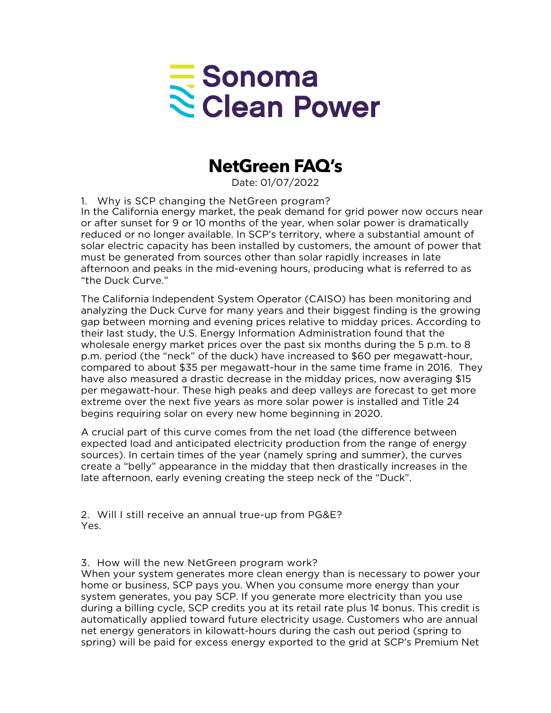## Sonoma<br>Sclean Power

## **NetGreen FAQ's**

Date: 01/07/2022

1. Why is SCP changing the NetGreen program? In the California energy market, the peak demand for grid power now occurs near or after sunset for 9 or 10 months of the year, when solar power is dramatically reduced or no longer available. In SCP's territory, where a substantial amount of solar electric capacity has been installed by customers, the amount of power that must be generated from sources other than solar rapidly increases in late afternoon and peaks in the mid-evening hours, producing what is referred to as "the Duck Curve."

The California Independent System Operator (CAISO) has been monitoring and analyzing the Duck Curve for many years and their biggest finding is the growing gap between morning and evening prices relative to midday prices. According to their last study, the U.S. Energy Information Administration found that the wholesale energy market prices over the past six months during the 5 p.m. to 8 p.m. period (the "neck" of the duck) have increased to \$60 per megawatt-hour, compared to about \$35 per megawatt-hour in the same time frame in 2016. They have also measured a drastic decrease in the midday prices, now averaging \$15 per megawatt-hour. These high peaks and deep valleys are forecast to get more extreme over the next five years as more solar power is installed and Title 24 begins requiring solar on every new home beginning in 2020.

A crucial part of this curve comes from the net load (the difference between expected load and anticipated electricity production from the range of energy sources). In certain times of the year (namely spring and summer), the curves create a "belly" appearance in the midday that then drastically increases in the late afternoon, early evening creating the steep neck of the "Duck".

2. Will I still receive an annual true-up from PG&E? Yes.

3. How will the new NetGreen program work?

When your system generates more clean energy than is necessary to power your home or business, SCP pays you. When you consume more energy than your system generates, you pay SCP. If you generate more electricity than you use during a billing cycle, SCP credits you at its retail rate plus 1¢ bonus. This credit is automatically applied toward future electricity usage. Customers who are annual net energy generators in kilowatt-hours during the cash out period (spring to spring) will be paid for excess energy exported to the grid at SCP's Premium Net